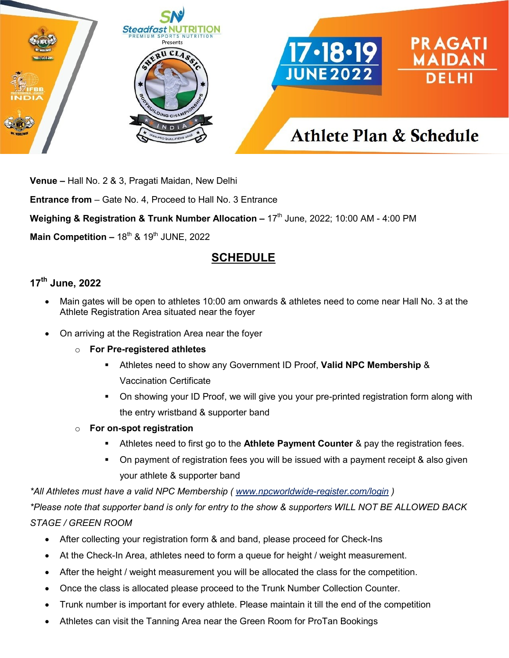

**Venue –** Hall No. 2 & 3, Pragati Maidan, New Delhi

**Entrance from** – Gate No. 4, Proceed to Hall No. 3 Entrance

**Weighing & Registration & Trunk Number Allocation – 17<sup>th</sup> June, 2022; 10:00 AM - 4:00 PM** 

**Main Competition - 18<sup>th</sup> & 19<sup>th</sup> JUNE, 2022** 

# **SCHEDULE**

## **17th June, 2022**

- Main gates will be open to athletes 10:00 am onwards & athletes need to come near Hall No. 3 at the Athlete Registration Area situated near the foyer
- On arriving at the Registration Area near the foyer
	- o **For Pre-registered athletes**
		- Athletes need to show any Government ID Proof, **Valid NPC Membership** & Vaccination Certificate
		- On showing your ID Proof, we will give you your pre-printed registration form along with the entry wristband & supporter band
	- o **For on-spot registration**
		- Athletes need to first go to the **Athlete Payment Counter** & pay the registration fees.
		- On payment of registration fees you will be issued with a payment receipt & also given your athlete & supporter band

*\*All Athletes must have a valid NPC Membership ( [www.npcworldwide-register.com/login](http://www.npcworldwide-register.com/login) )*

*\*Please note that supporter band is only for entry to the show & supporters WILL NOT BE ALLOWED BACK STAGE / GREEN ROOM*

- After collecting your registration form & and band, please proceed for Check-Ins
- At the Check-In Area, athletes need to form a queue for height / weight measurement.
- After the height / weight measurement you will be allocated the class for the competition.
- Once the class is allocated please proceed to the Trunk Number Collection Counter.
- Trunk number is important for every athlete. Please maintain it till the end of the competition
- Athletes can visit the Tanning Area near the Green Room for ProTan Bookings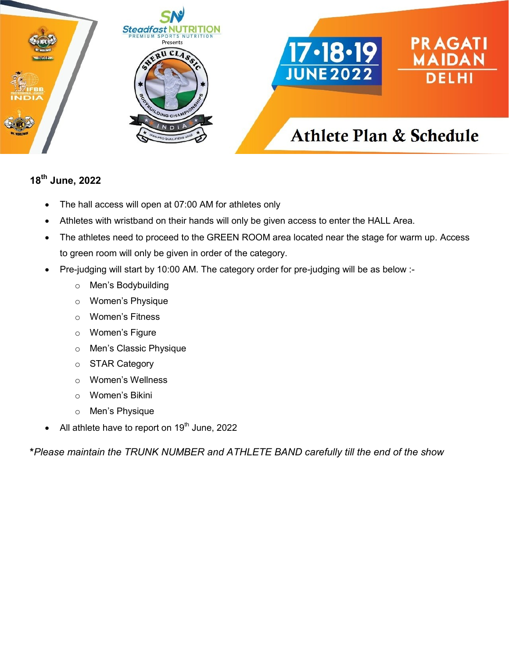

#### **18th June, 2022**

- The hall access will open at 07:00 AM for athletes only
- Athletes with wristband on their hands will only be given access to enter the HALL Area.
- The athletes need to proceed to the GREEN ROOM area located near the stage for warm up. Access to green room will only be given in order of the category.
- Pre-judging will start by 10:00 AM. The category order for pre-judging will be as below :
	- o Men's Bodybuilding
	- o Women's Physique
	- o Women's Fitness
	- o Women's Figure
	- o Men's Classic Physique
	- o STAR Category
	- o Women's Wellness
	- o Women's Bikini
	- o Men's Physique
- All athlete have to report on 19<sup>th</sup> June, 2022

**\****Please maintain the TRUNK NUMBER and ATHLETE BAND carefully till the end of the show*